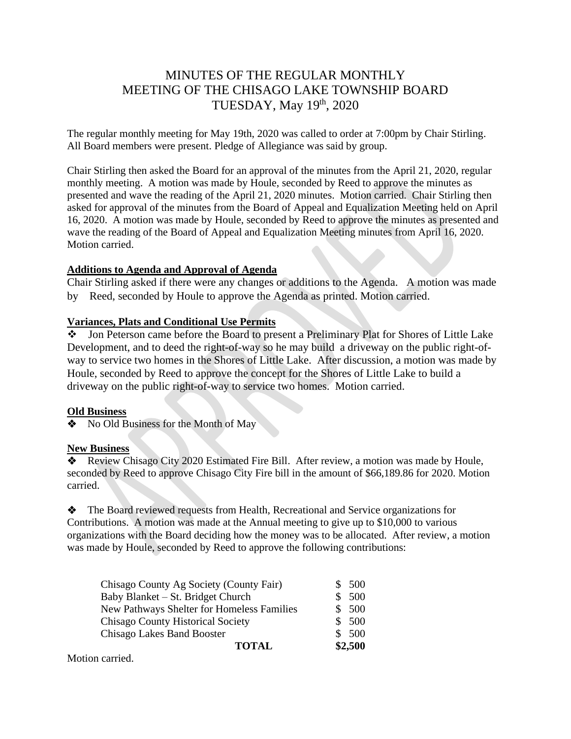# MINUTES OF THE REGULAR MONTHLY MEETING OF THE CHISAGO LAKE TOWNSHIP BOARD TUESDAY, May 19<sup>th</sup>, 2020

The regular monthly meeting for May 19th, 2020 was called to order at 7:00pm by Chair Stirling. All Board members were present. Pledge of Allegiance was said by group.

Chair Stirling then asked the Board for an approval of the minutes from the April 21, 2020, regular monthly meeting. A motion was made by Houle, seconded by Reed to approve the minutes as presented and wave the reading of the April 21, 2020 minutes. Motion carried. Chair Stirling then asked for approval of the minutes from the Board of Appeal and Equalization Meeting held on April 16, 2020. A motion was made by Houle, seconded by Reed to approve the minutes as presented and wave the reading of the Board of Appeal and Equalization Meeting minutes from April 16, 2020. Motion carried.

### **Additions to Agenda and Approval of Agenda**

Chair Stirling asked if there were any changes or additions to the Agenda. A motion was made by Reed, seconded by Houle to approve the Agenda as printed. Motion carried.

### **Variances, Plats and Conditional Use Permits**

❖ Jon Peterson came before the Board to present a Preliminary Plat for Shores of Little Lake Development, and to deed the right-of-way so he may build a driveway on the public right-ofway to service two homes in the Shores of Little Lake. After discussion, a motion was made by Houle, seconded by Reed to approve the concept for the Shores of Little Lake to build a driveway on the public right-of-way to service two homes. Motion carried.

### **Old Business**

❖No Old Business for the Month of May

### **New Business**

❖ Review Chisago City 2020 Estimated Fire Bill. After review, a motion was made by Houle, seconded by Reed to approve Chisago City Fire bill in the amount of \$66,189.86 for 2020. Motion carried.

❖ The Board reviewed requests from Health, Recreational and Service organizations for Contributions. A motion was made at the Annual meeting to give up to \$10,000 to various organizations with the Board deciding how the money was to be allocated. After review, a motion was made by Houle, seconded by Reed to approve the following contributions:

| Chisago County Ag Society (County Fair)    | \$500   |
|--------------------------------------------|---------|
| Baby Blanket – St. Bridget Church          | 500     |
| New Pathways Shelter for Homeless Families | \$500   |
| <b>Chisago County Historical Society</b>   | \$500   |
| <b>Chisago Lakes Band Booster</b>          | \$500   |
| <b>TOTAL</b>                               | \$2,500 |

Motion carried.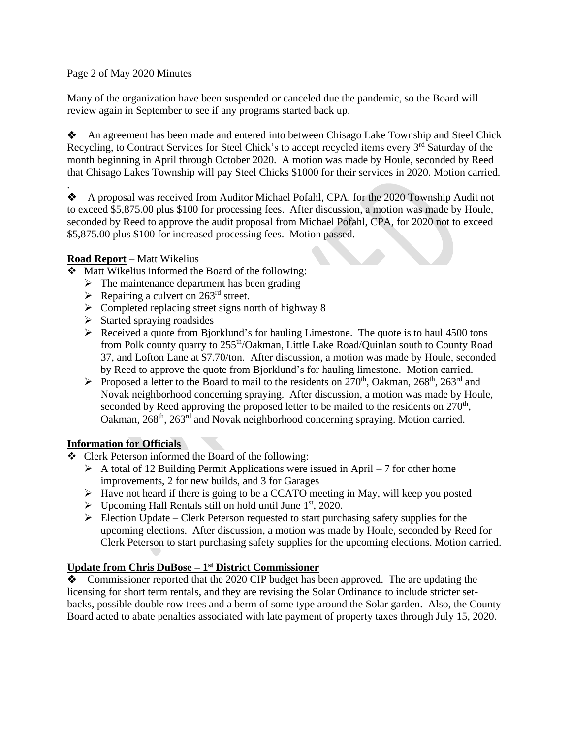Page 2 of May 2020 Minutes

Many of the organization have been suspended or canceled due the pandemic, so the Board will review again in September to see if any programs started back up.

❖ An agreement has been made and entered into between Chisago Lake Township and Steel Chick Recycling, to Contract Services for Steel Chick's to accept recycled items every 3<sup>rd</sup> Saturday of the month beginning in April through October 2020. A motion was made by Houle, seconded by Reed that Chisago Lakes Township will pay Steel Chicks \$1000 for their services in 2020. Motion carried.

. ❖ A proposal was received from Auditor Michael Pofahl, CPA, for the 2020 Township Audit not to exceed \$5,875.00 plus \$100 for processing fees. After discussion, a motion was made by Houle, seconded by Reed to approve the audit proposal from Michael Pofahl, CPA, for 2020 not to exceed \$5,875.00 plus \$100 for increased processing fees. Motion passed.

### **Road Report** – Matt Wikelius

- ❖ Matt Wikelius informed the Board of the following:
	- $\triangleright$  The maintenance department has been grading
	- $\triangleright$  Repairing a culvert on 263<sup>rd</sup> street.
	- ➢ Completed replacing street signs north of highway 8
	- ➢ Started spraying roadsides
	- $\triangleright$  Received a quote from Bjorklund's for hauling Limestone. The quote is to haul 4500 tons from Polk county quarry to 255<sup>th</sup>/Oakman, Little Lake Road/Quinlan south to County Road 37, and Lofton Lane at \$7.70/ton. After discussion, a motion was made by Houle, seconded by Reed to approve the quote from Bjorklund's for hauling limestone. Motion carried.
	- $\triangleright$  Proposed a letter to the Board to mail to the residents on 270<sup>th</sup>, Oakman, 268<sup>th</sup>, 263<sup>rd</sup> and Novak neighborhood concerning spraying. After discussion, a motion was made by Houle, seconded by Reed approving the proposed letter to be mailed to the residents on  $270<sup>th</sup>$ , Oakman, 268<sup>th</sup>, 263<sup>rd</sup> and Novak neighborhood concerning spraying. Motion carried.

### **Information for Officials**

- ❖ Clerk Peterson informed the Board of the following:
	- $\triangleright$  A total of 12 Building Permit Applications were issued in April 7 for other home improvements, 2 for new builds, and 3 for Garages
	- ➢ Have not heard if there is going to be a CCATO meeting in May, will keep you posted
	- $\triangleright$  Upcoming Hall Rentals still on hold until June 1<sup>st</sup>, 2020.
	- $\triangleright$  Election Update Clerk Peterson requested to start purchasing safety supplies for the upcoming elections. After discussion, a motion was made by Houle, seconded by Reed for Clerk Peterson to start purchasing safety supplies for the upcoming elections. Motion carried.

### **Update from Chris DuBose – 1 st District Commissioner**

❖ Commissioner reported that the 2020 CIP budget has been approved. The are updating the licensing for short term rentals, and they are revising the Solar Ordinance to include stricter setbacks, possible double row trees and a berm of some type around the Solar garden. Also, the County Board acted to abate penalties associated with late payment of property taxes through July 15, 2020.